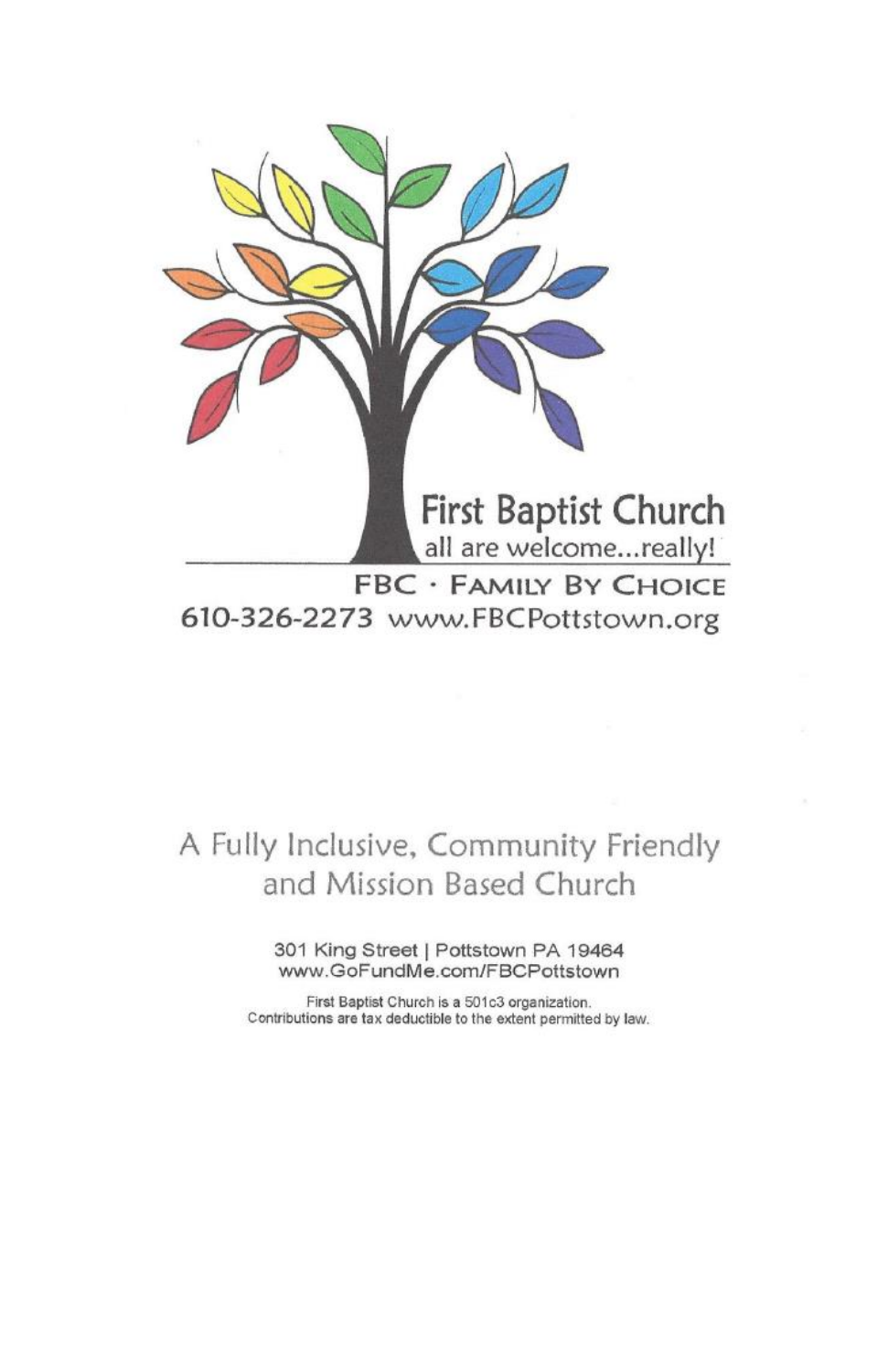

all are welcome...really! **FBC · FAMILY BY CHOICE** 

610-326-2273 www.FBCPottstown.org

## A Fully Inclusive, Community Friendly and Mission Based Church

301 King Street | Pottstown PA 19464 www.GoFundMe.com/FBCPottstown

First Baptist Church is a 501c3 organization. Contributions are tax deductible to the extent permitted by law.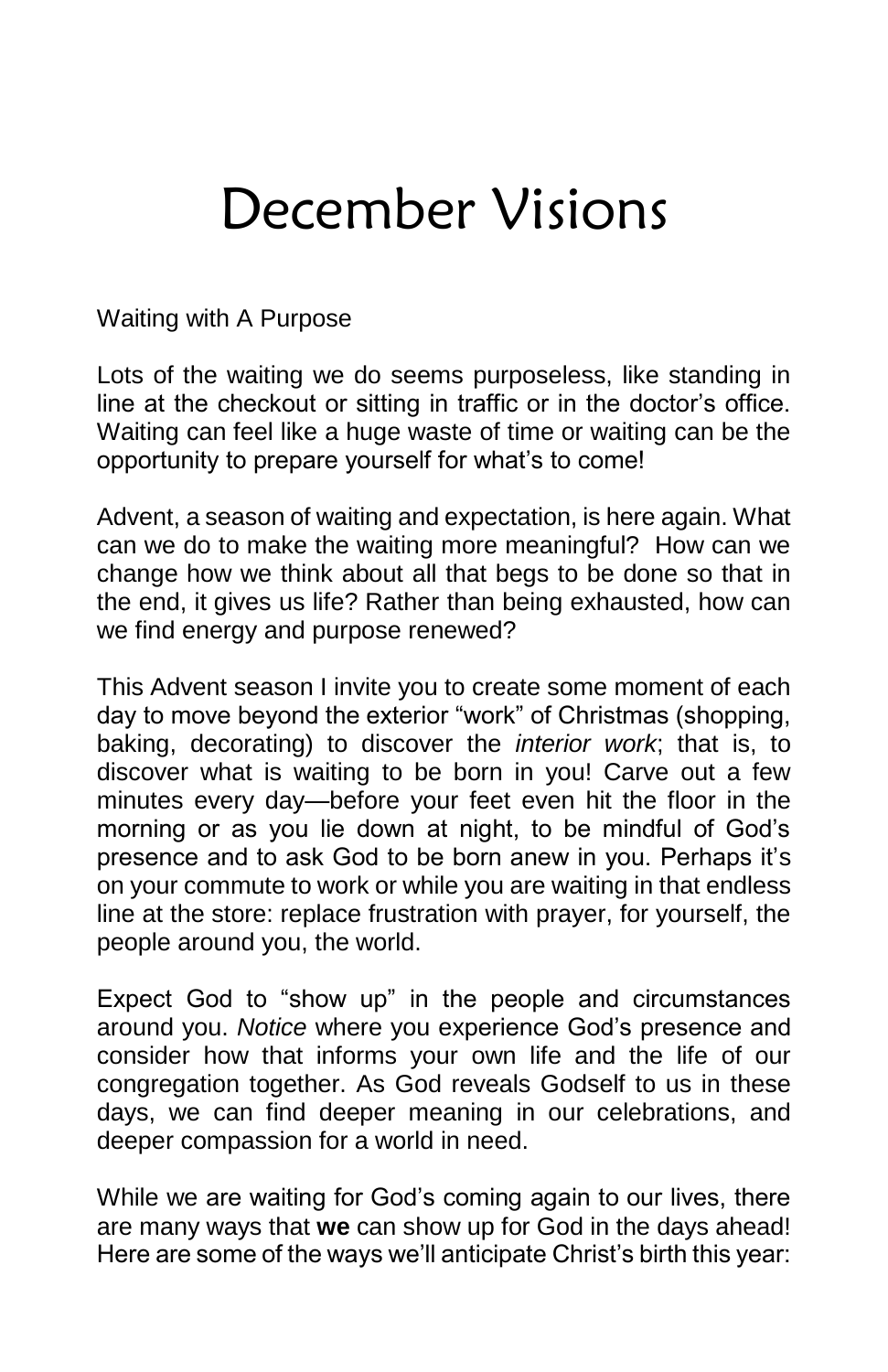# December Visions

Waiting with A Purpose

Lots of the waiting we do seems purposeless, like standing in line at the checkout or sitting in traffic or in the doctor's office. Waiting can feel like a huge waste of time or waiting can be the opportunity to prepare yourself for what's to come!

Advent, a season of waiting and expectation, is here again. What can we do to make the waiting more meaningful? How can we change how we think about all that begs to be done so that in the end, it gives us life? Rather than being exhausted, how can we find energy and purpose renewed?

This Advent season I invite you to create some moment of each day to move beyond the exterior "work" of Christmas (shopping, baking, decorating) to discover the *interior work*; that is, to discover what is waiting to be born in you! Carve out a few minutes every day—before your feet even hit the floor in the morning or as you lie down at night, to be mindful of God's presence and to ask God to be born anew in you. Perhaps it's on your commute to work or while you are waiting in that endless line at the store: replace frustration with prayer, for yourself, the people around you, the world.

Expect God to "show up" in the people and circumstances around you. *Notice* where you experience God's presence and consider how that informs your own life and the life of our congregation together. As God reveals Godself to us in these days, we can find deeper meaning in our celebrations, and deeper compassion for a world in need.

While we are waiting for God's coming again to our lives, there are many ways that **we** can show up for God in the days ahead! Here are some of the ways we'll anticipate Christ's birth this year: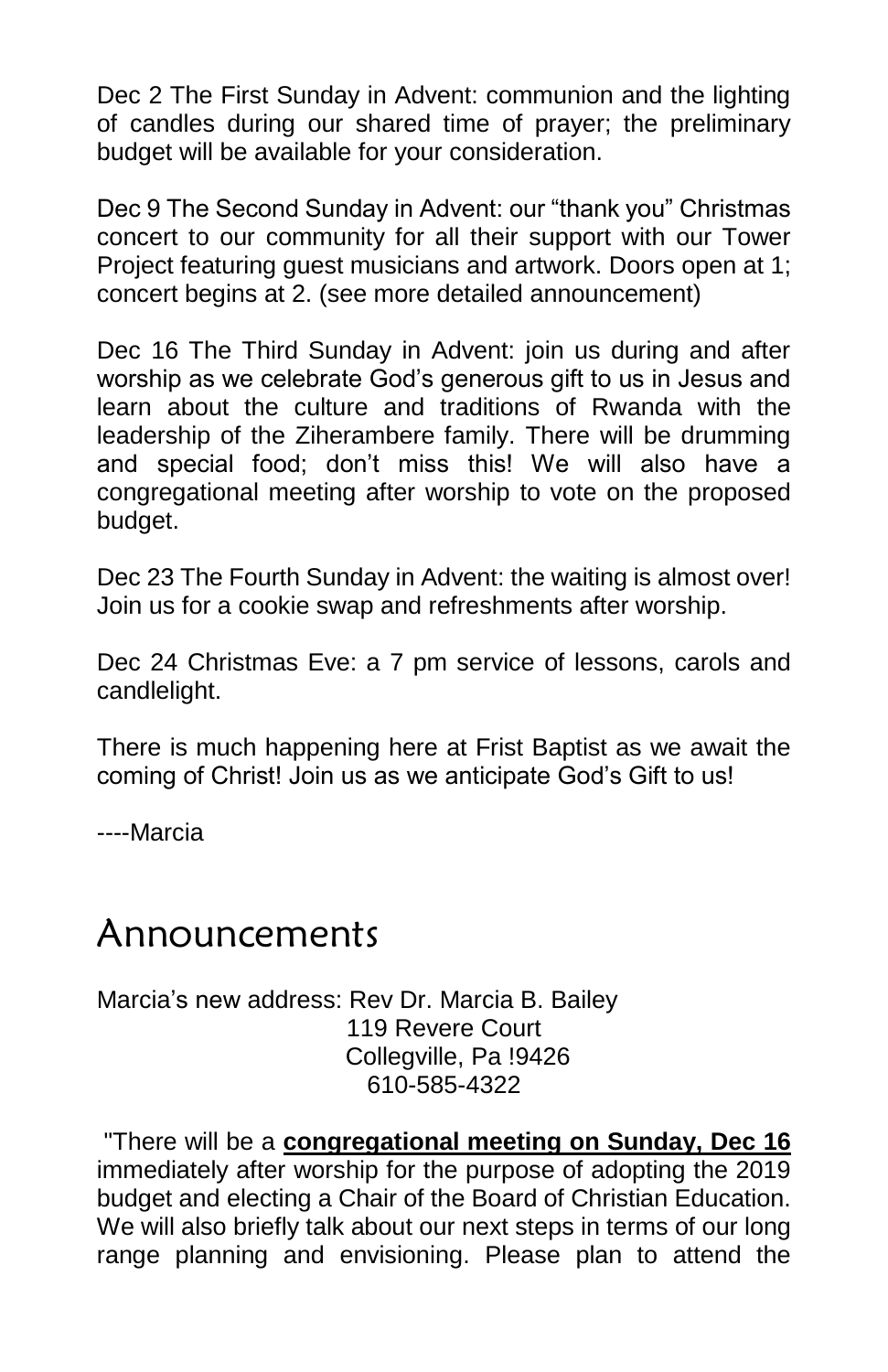Dec 2 The First Sunday in Advent: communion and the lighting of candles during our shared time of prayer; the preliminary budget will be available for your consideration.

Dec 9 The Second Sunday in Advent: our "thank you" Christmas concert to our community for all their support with our Tower Project featuring guest musicians and artwork. Doors open at 1; concert begins at 2. (see more detailed announcement)

Dec 16 The Third Sunday in Advent: join us during and after worship as we celebrate God's generous gift to us in Jesus and learn about the culture and traditions of Rwanda with the leadership of the Ziherambere family. There will be drumming and special food; don't miss this! We will also have a congregational meeting after worship to vote on the proposed budget.

Dec 23 The Fourth Sunday in Advent: the waiting is almost over! Join us for a cookie swap and refreshments after worship.

Dec 24 Christmas Eve: a 7 pm service of lessons, carols and candlelight.

There is much happening here at Frist Baptist as we await the coming of Christ! Join us as we anticipate God's Gift to us!

----Marcia

## Announcements

Marcia's new address: Rev Dr. Marcia B. Bailey 119 Revere Court Collegville, Pa !9426 610-585-4322

"There will be a **congregational meeting on Sunday, Dec 16** immediately after worship for the purpose of adopting the 2019 budget and electing a Chair of the Board of Christian Education. We will also briefly talk about our next steps in terms of our long range planning and envisioning. Please plan to attend the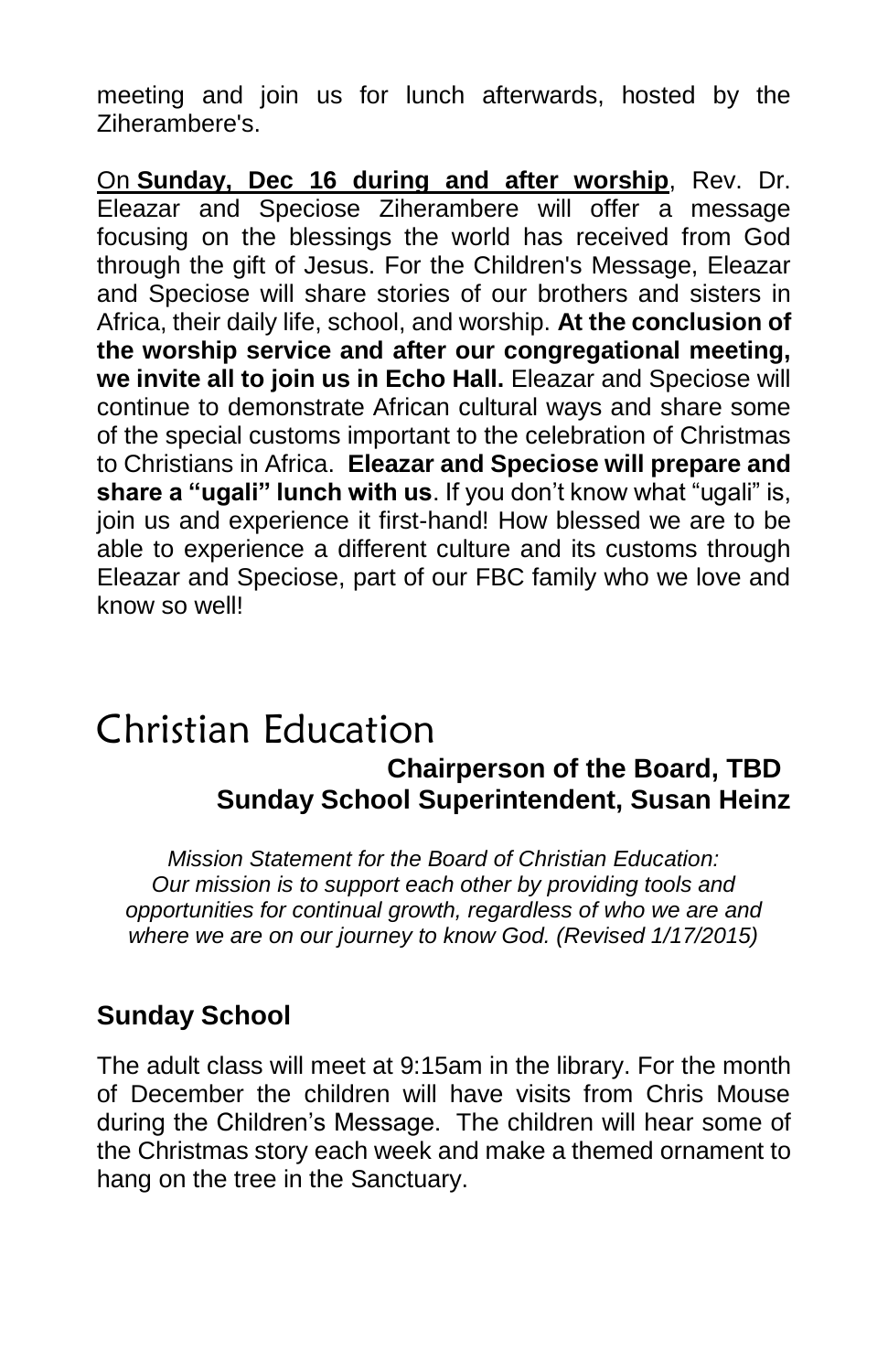meeting and join us for lunch afterwards, hosted by the Ziherambere's.

On **Sunday, Dec 16 during and after worship**, Rev. Dr. Eleazar and Speciose Ziherambere will offer a message focusing on the blessings the world has received from God through the gift of Jesus. For the Children's Message, Eleazar and Speciose will share stories of our brothers and sisters in Africa, their daily life, school, and worship. **At the conclusion of the worship service and after our congregational meeting, we invite all to join us in Echo Hall.** Eleazar and Speciose will continue to demonstrate African cultural ways and share some of the special customs important to the celebration of Christmas to Christians in Africa. **Eleazar and Speciose will prepare and share a "ugali" lunch with us**. If you don't know what "ugali" is, join us and experience it first-hand! How blessed we are to be able to experience a different culture and its customs through Eleazar and Speciose, part of our FBC family who we love and know so well!

### Christian Education  **Chairperson of the Board, TBD Sunday School Superintendent, Susan Heinz**

*Mission Statement for the Board of Christian Education: Our mission is to support each other by providing tools and opportunities for continual growth, regardless of who we are and where we are on our journey to know God. (Revised 1/17/2015)*

#### **Sunday School**

The adult class will meet at 9:15am in the library. For the month of December the children will have visits from Chris Mouse during the Children's Message. The children will hear some of the Christmas story each week and make a themed ornament to hang on the tree in the Sanctuary.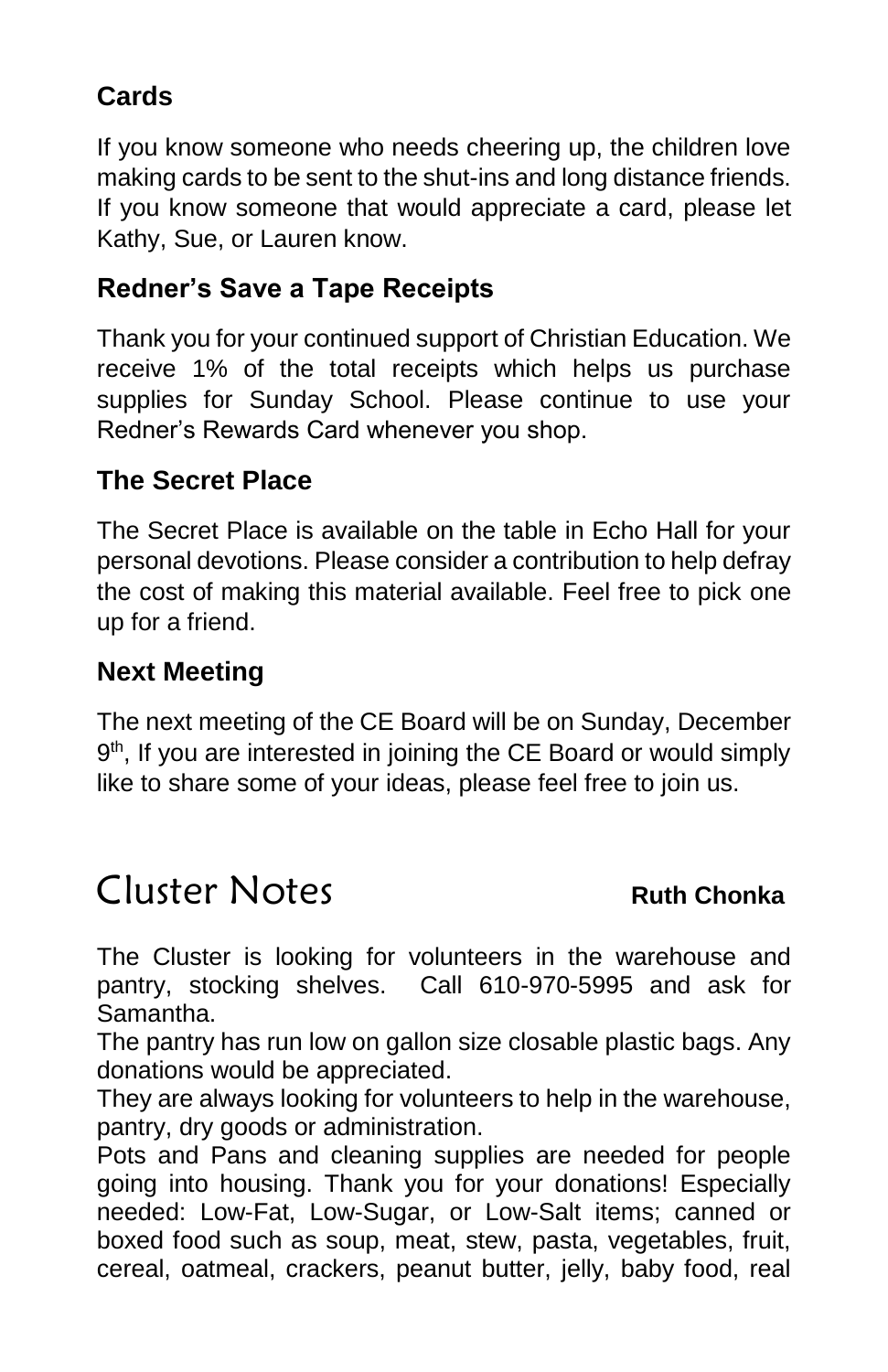### **Cards**

If you know someone who needs cheering up, the children love making cards to be sent to the shut-ins and long distance friends. If you know someone that would appreciate a card, please let Kathy, Sue, or Lauren know.

#### **Redner's Save a Tape Receipts**

Thank you for your continued support of Christian Education. We receive 1% of the total receipts which helps us purchase supplies for Sunday School. Please continue to use your Redner's Rewards Card whenever you shop.

### **The Secret Place**

The Secret Place is available on the table in Echo Hall for your personal devotions. Please consider a contribution to help defray the cost of making this material available. Feel free to pick one up for a friend.

### **Next Meeting**

The next meeting of the CE Board will be on Sunday, December 9<sup>th</sup>, If you are interested in joining the CE Board or would simply like to share some of your ideas, please feel free to join us.

# Cluster Notes **Ruth Chonka**

The Cluster is looking for volunteers in the warehouse and pantry, stocking shelves. Call 610-970-5995 and ask for Samantha.

The pantry has run low on gallon size closable plastic bags. Any donations would be appreciated.

They are always looking for volunteers to help in the warehouse, pantry, dry goods or administration.

Pots and Pans and cleaning supplies are needed for people going into housing. Thank you for your donations! Especially needed: Low-Fat, Low-Sugar, or Low-Salt items; canned or boxed food such as soup, meat, stew, pasta, vegetables, fruit, cereal, oatmeal, crackers, peanut butter, jelly, baby food, real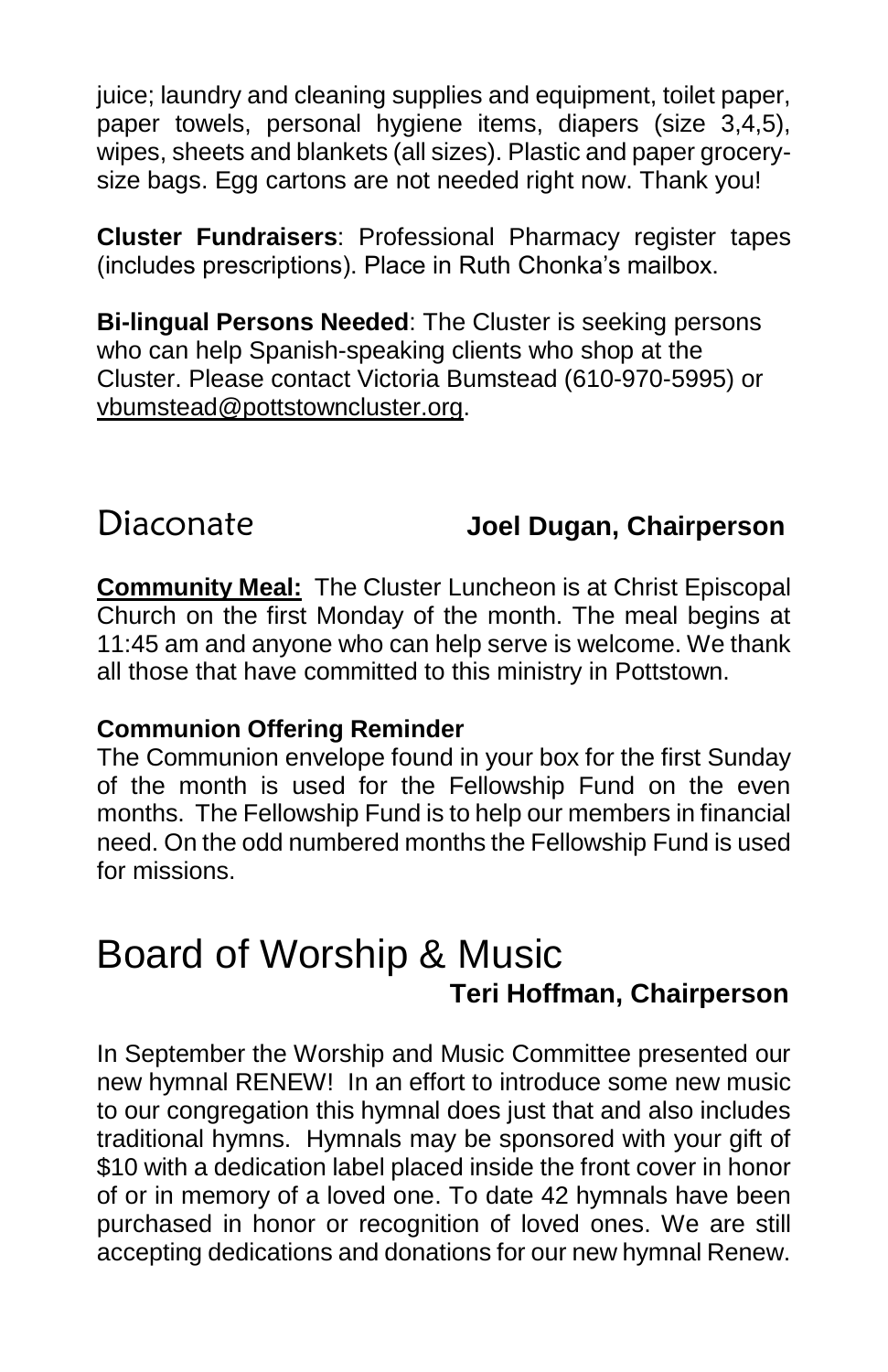juice; laundry and cleaning supplies and equipment, toilet paper, paper towels, personal hygiene items, diapers (size 3,4,5), wipes, sheets and blankets (all sizes). Plastic and paper grocerysize bags. Egg cartons are not needed right now. Thank you!

**Cluster Fundraisers**: Professional Pharmacy register tapes (includes prescriptions). Place in Ruth Chonka's mailbox.

**Bi-lingual Persons Needed**: The Cluster is seeking persons who can help Spanish-speaking clients who shop at the Cluster. Please contact Victoria Bumstead (610-970-5995) or [vbumstead@pottstowncluster.org.](mailto:vbumstead@pottstowncluster.org)

### Diaconate **Joel Dugan, Chairperson**

**Community Meal:** The Cluster Luncheon is at Christ Episcopal Church on the first Monday of the month. The meal begins at 11:45 am and anyone who can help serve is welcome. We thank all those that have committed to this ministry in Pottstown.

#### **Communion Offering Reminder**

The Communion envelope found in your box for the first Sunday of the month is used for the Fellowship Fund on the even months. The Fellowship Fund is to help our members in financial need. On the odd numbered months the Fellowship Fund is used for missions.

## Board of Worship & Music  **Teri Hoffman, Chairperson**

In September the Worship and Music Committee presented our new hymnal RENEW! In an effort to introduce some new music to our congregation this hymnal does just that and also includes traditional hymns. Hymnals may be sponsored with your gift of \$10 with a dedication label placed inside the front cover in honor of or in memory of a loved one. To date 42 hymnals have been purchased in honor or recognition of loved ones. We are still accepting dedications and donations for our new hymnal Renew.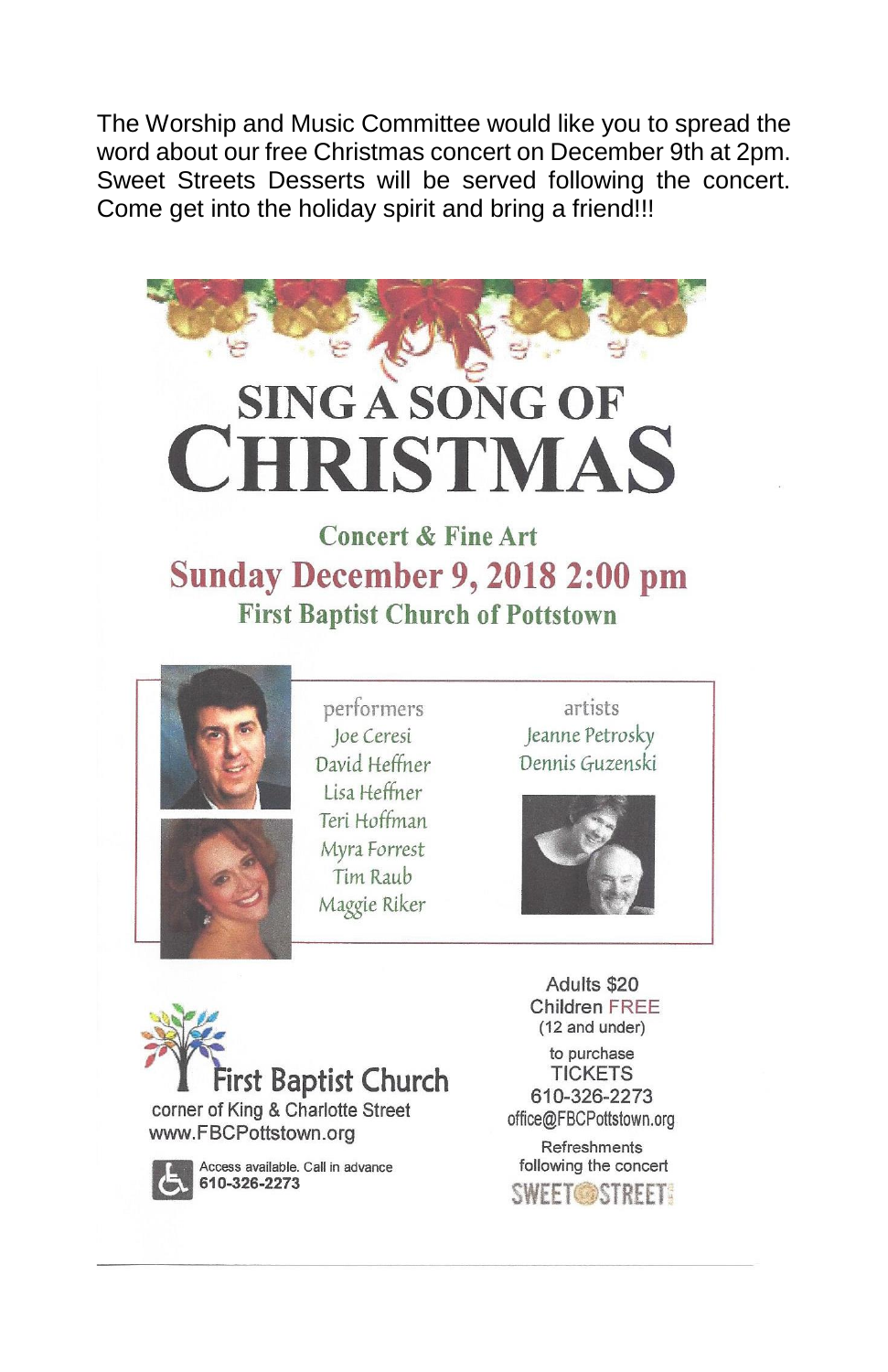The Worship and Music Committee would like you to spread the word about our free Christmas concert on December 9th at 2pm. Sweet Streets Desserts will be served following the concert. Come get into the holiday spirit and bring a friend!!!



# **Sunday December 9, 2018 2:00 pm First Baptist Church of Pottstown**





performers Joe Ceresi David Heffner Lisa Heffner Teri Hoffman Myra Forrest Tim Raub Maggie Riker

artists Jeanne Petrosky Dennis Guzenski





Access available. Call in advance 610-326-2273

Adults \$20 Children FREE (12 and under)

to purchase **TICKETS** 610-326-2273 office@FBCPottstown.org

Refreshments following the concert **SWEET OBSTREET!**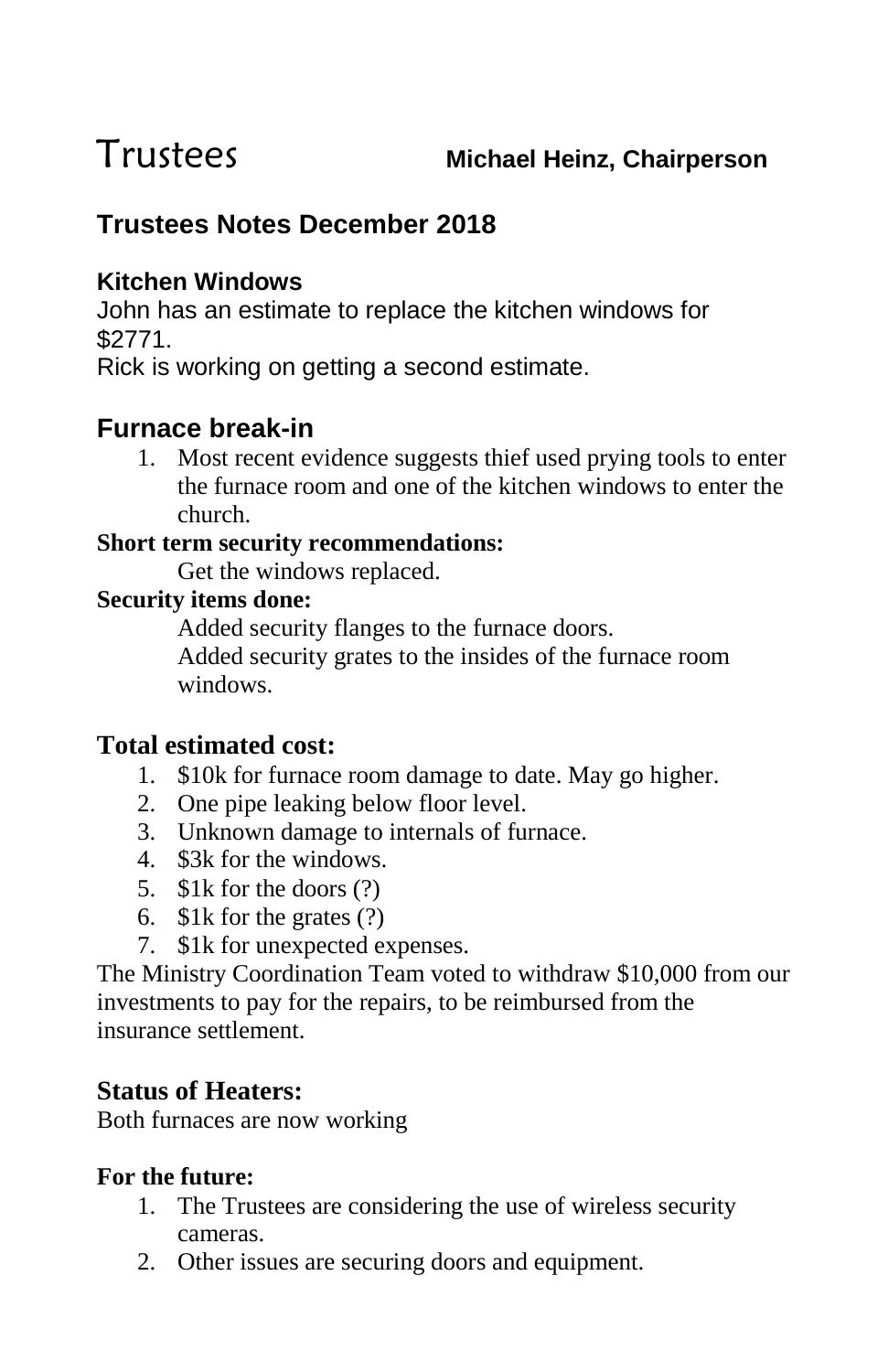### **Trustees Notes December 2018**

#### **Kitchen Windows**

John has an estimate to replace the kitchen windows for \$2771.

Rick is working on getting a second estimate.

### **Furnace break-in**

1. Most recent evidence suggests thief used prying tools to enter the furnace room and one of the kitchen windows to enter the church.

#### **Short term security recommendations:**

Get the windows replaced.

#### **Security items done:**

Added security flanges to the furnace doors. Added security grates to the insides of the furnace room windows.

#### **Total estimated cost:**

- 1. \$10k for furnace room damage to date. May go higher.
- 2. One pipe leaking below floor level.
- 3. Unknown damage to internals of furnace.
- 4. \$3k for the windows.
- 5. \$1k for the doors (?)
- 6. \$1k for the grates (?)
- 7. \$1k for unexpected expenses.

The Ministry Coordination Team voted to withdraw \$10,000 from our investments to pay for the repairs, to be reimbursed from the insurance settlement.

#### **Status of Heaters:**

Both furnaces are now working

#### **For the future:**

- 1. The Trustees are considering the use of wireless security cameras.
- 2. Other issues are securing doors and equipment.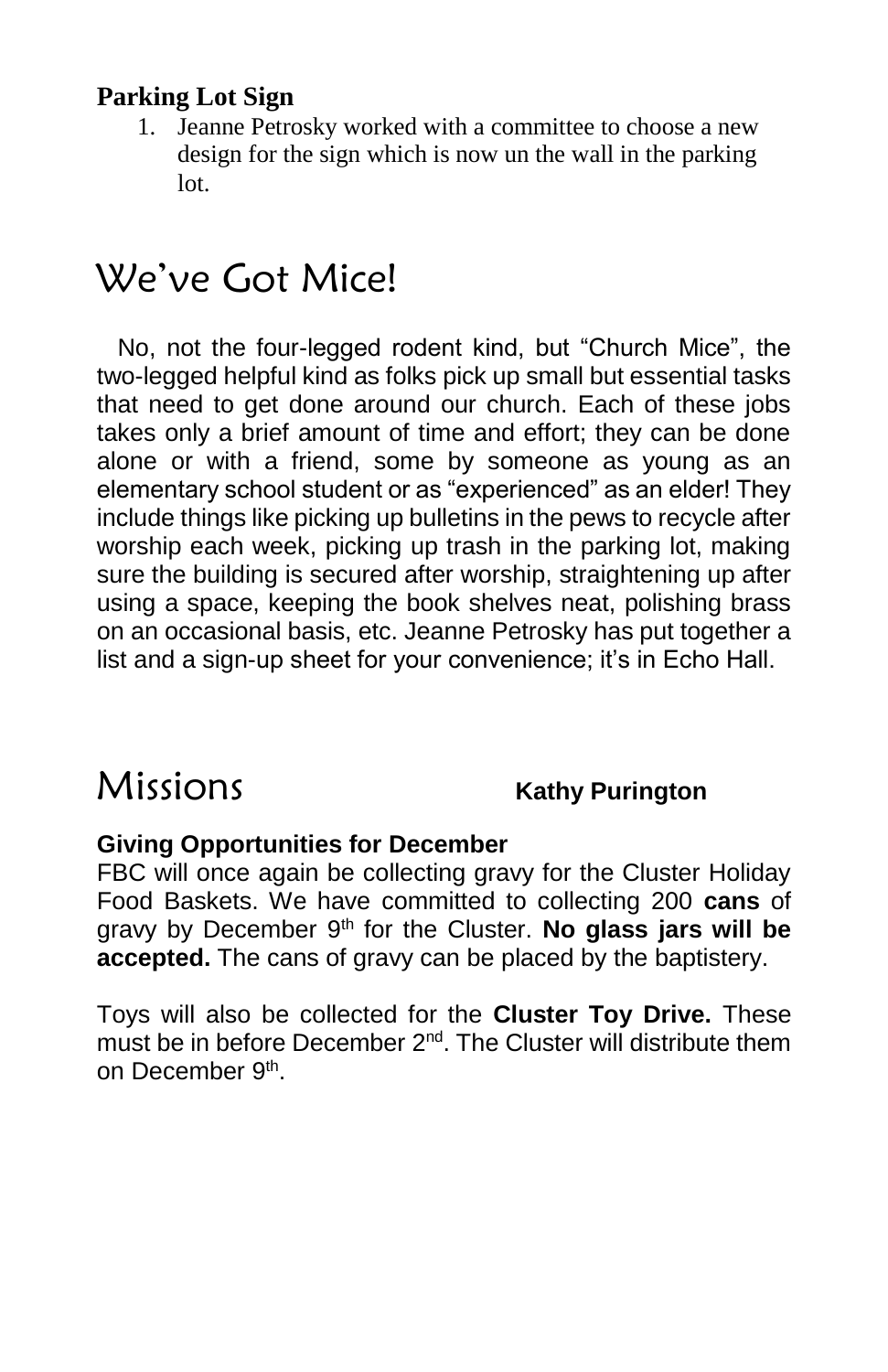#### **Parking Lot Sign**

1. Jeanne Petrosky worked with a committee to choose a new design for the sign which is now un the wall in the parking lot.

# We've Got Mice!

 No, not the four-legged rodent kind, but "Church Mice", the two-legged helpful kind as folks pick up small but essential tasks that need to get done around our church. Each of these jobs takes only a brief amount of time and effort; they can be done alone or with a friend, some by someone as young as an elementary school student or as "experienced" as an elder! They include things like picking up bulletins in the pews to recycle after worship each week, picking up trash in the parking lot, making sure the building is secured after worship, straightening up after using a space, keeping the book shelves neat, polishing brass on an occasional basis, etc. Jeanne Petrosky has put together a list and a sign-up sheet for your convenience; it's in Echo Hall.

# Missions **Kathy Purington**

#### **Giving Opportunities for December**

FBC will once again be collecting gravy for the Cluster Holiday Food Baskets. We have committed to collecting 200 **cans** of gravy by December 9<sup>th</sup> for the Cluster. **No glass jars will be accepted.** The cans of gravy can be placed by the baptistery.

Toys will also be collected for the **Cluster Toy Drive.** These must be in before December 2<sup>nd</sup>. The Cluster will distribute them on December 9<sup>th</sup>.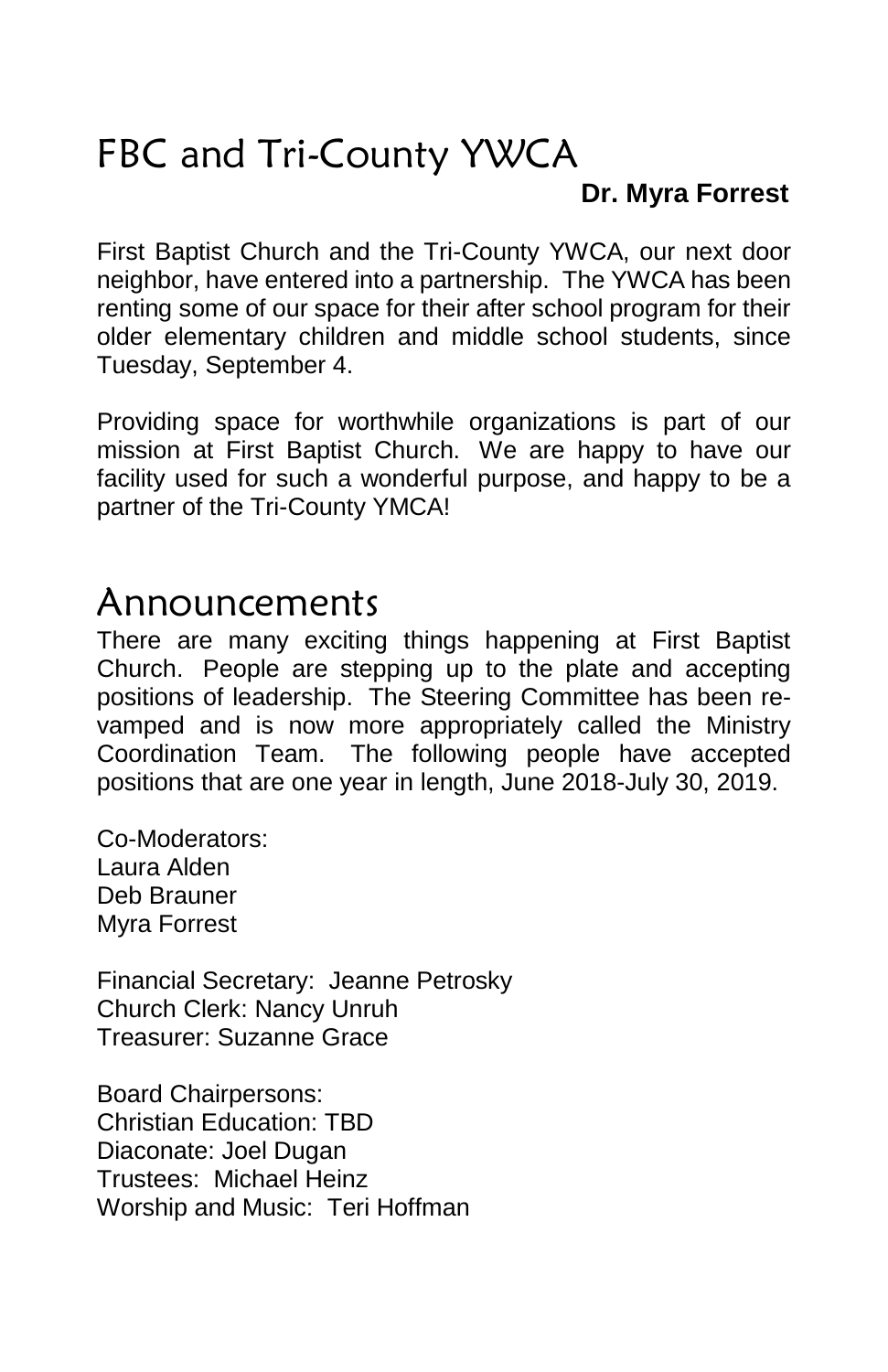# FBC and Tri-County YWCA

#### **Dr. Myra Forrest**

First Baptist Church and the Tri-County YWCA, our next door neighbor, have entered into a partnership. The YWCA has been renting some of our space for their after school program for their older elementary children and middle school students, since Tuesday, September 4.

Providing space for worthwhile organizations is part of our mission at First Baptist Church. We are happy to have our facility used for such a wonderful purpose, and happy to be a partner of the Tri-County YMCA!

## Announcements

There are many exciting things happening at First Baptist Church. People are stepping up to the plate and accepting positions of leadership. The Steering Committee has been revamped and is now more appropriately called the Ministry Coordination Team. The following people have accepted positions that are one year in length, June 2018-July 30, 2019.

Co-Moderators: Laura Alden Deb Brauner Myra Forrest

Financial Secretary: Jeanne Petrosky Church Clerk: Nancy Unruh Treasurer: Suzanne Grace

Board Chairpersons: Christian Education: TBD Diaconate: Joel Dugan Trustees: Michael Heinz Worship and Music: Teri Hoffman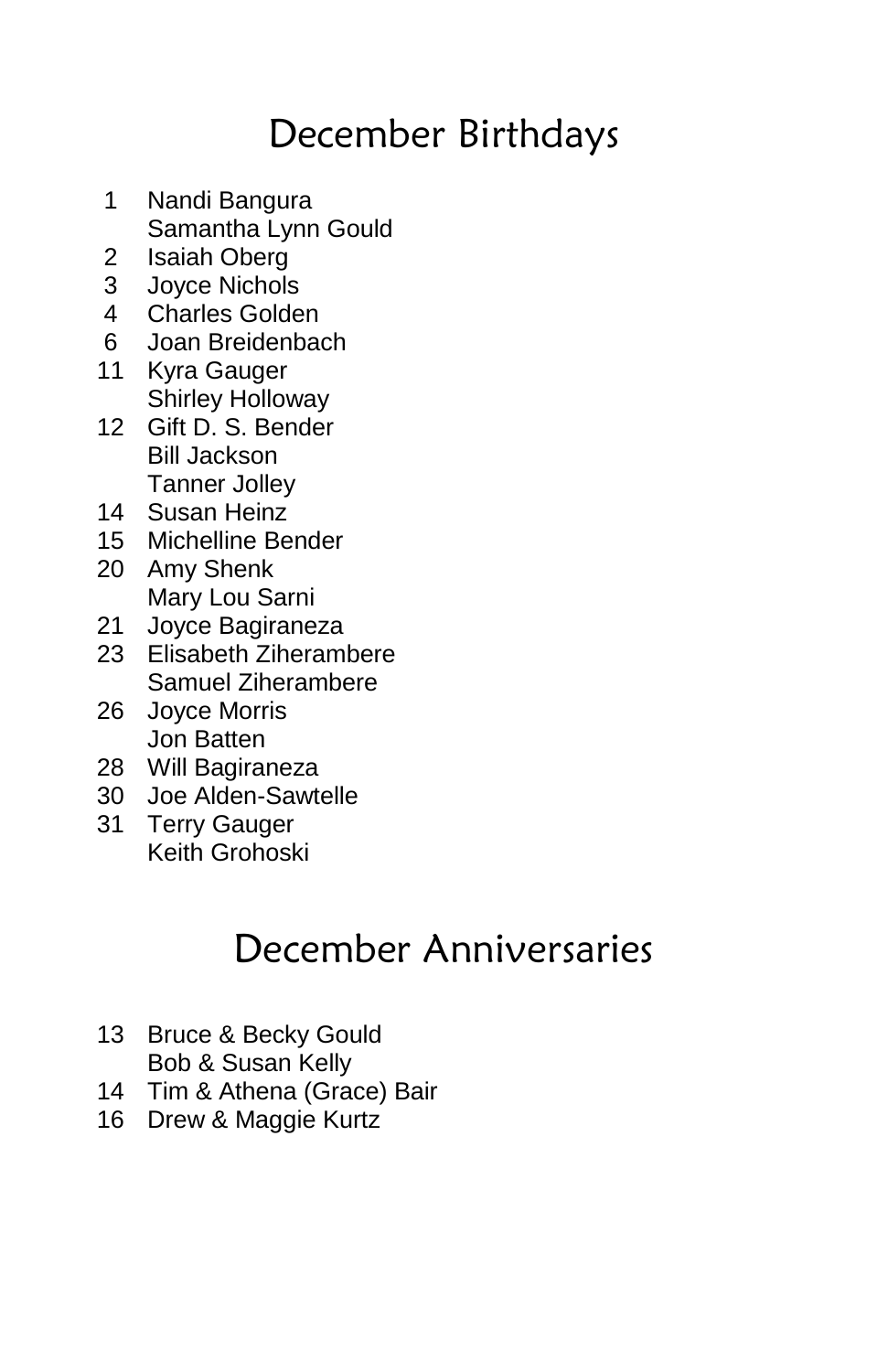# December Birthdays

- 1 Nandi Bangura Samantha Lynn Gould
- 2 Isaiah Oberg
- 3 Joyce Nichols
- 4 Charles Golden
- 6 Joan Breidenbach
- 11 Kyra Gauger Shirley Holloway
- 12 Gift D. S. Bender Bill Jackson Tanner Jolley
- 14 Susan Heinz
- 15 Michelline Bender
- 20 Amy Shenk Mary Lou Sarni
- 21 Joyce Bagiraneza
- 23 Elisabeth Ziherambere Samuel Ziherambere
- 26 Joyce Morris Jon Batten
- 28 Will Bagiraneza<br>30 Joe Alden-Sawt
- 30 Joe Alden-Sawtelle
- 31 Terry Gauger Keith Grohoski

# December Anniversaries

- 13 Bruce & Becky Gould Bob & Susan Kelly
- 14 Tim & Athena (Grace) Bair
- 16 Drew & Maggie Kurtz